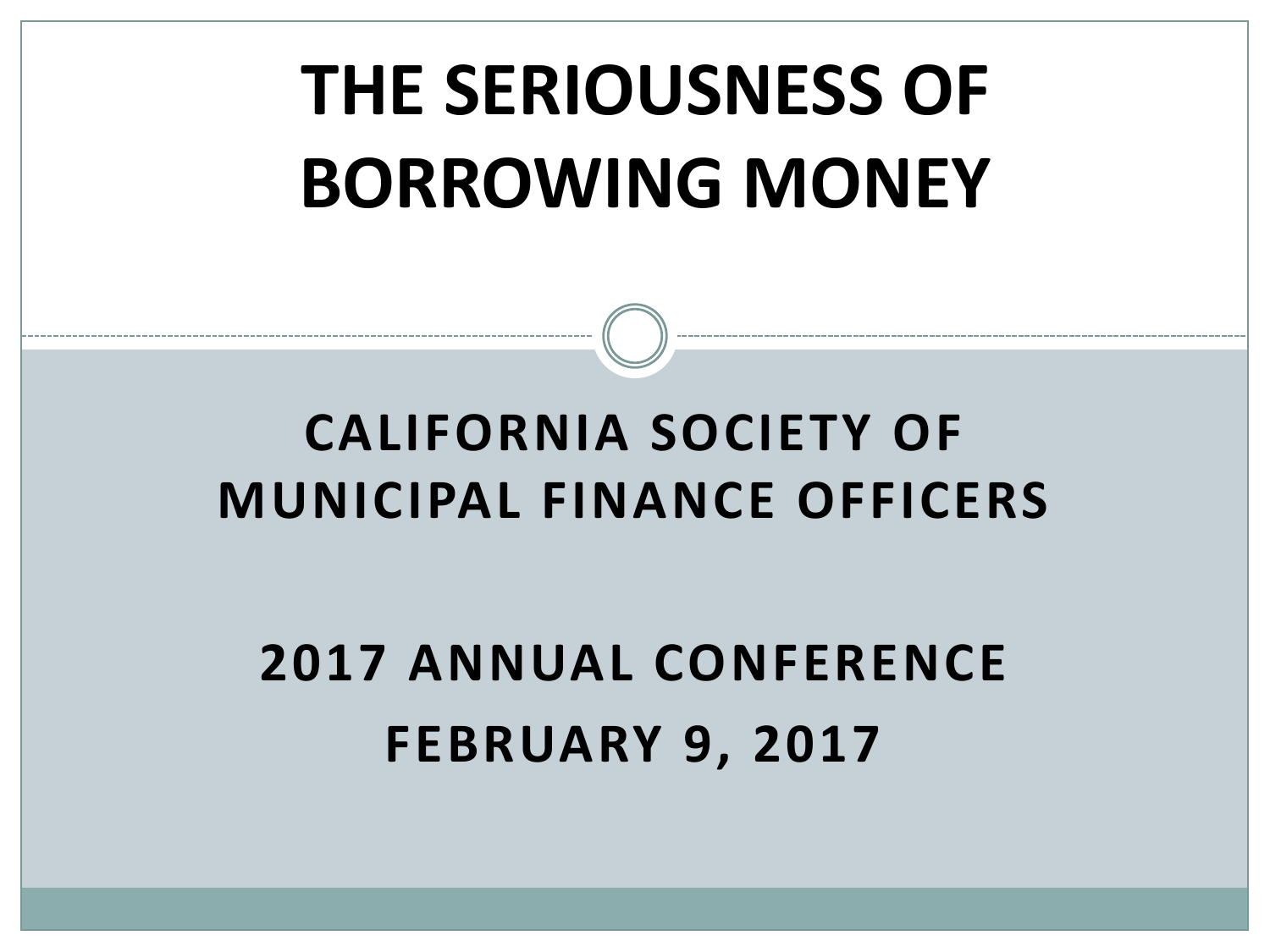# **THE SERIOUSNESS OF BORROWING MONEY**

### **CALIFORNIA SOCIETY OF MUNICIPAL FINANCE OFFICERS**

# **2017 ANNUAL CONFERENCE FEBRUARY 9, 2017**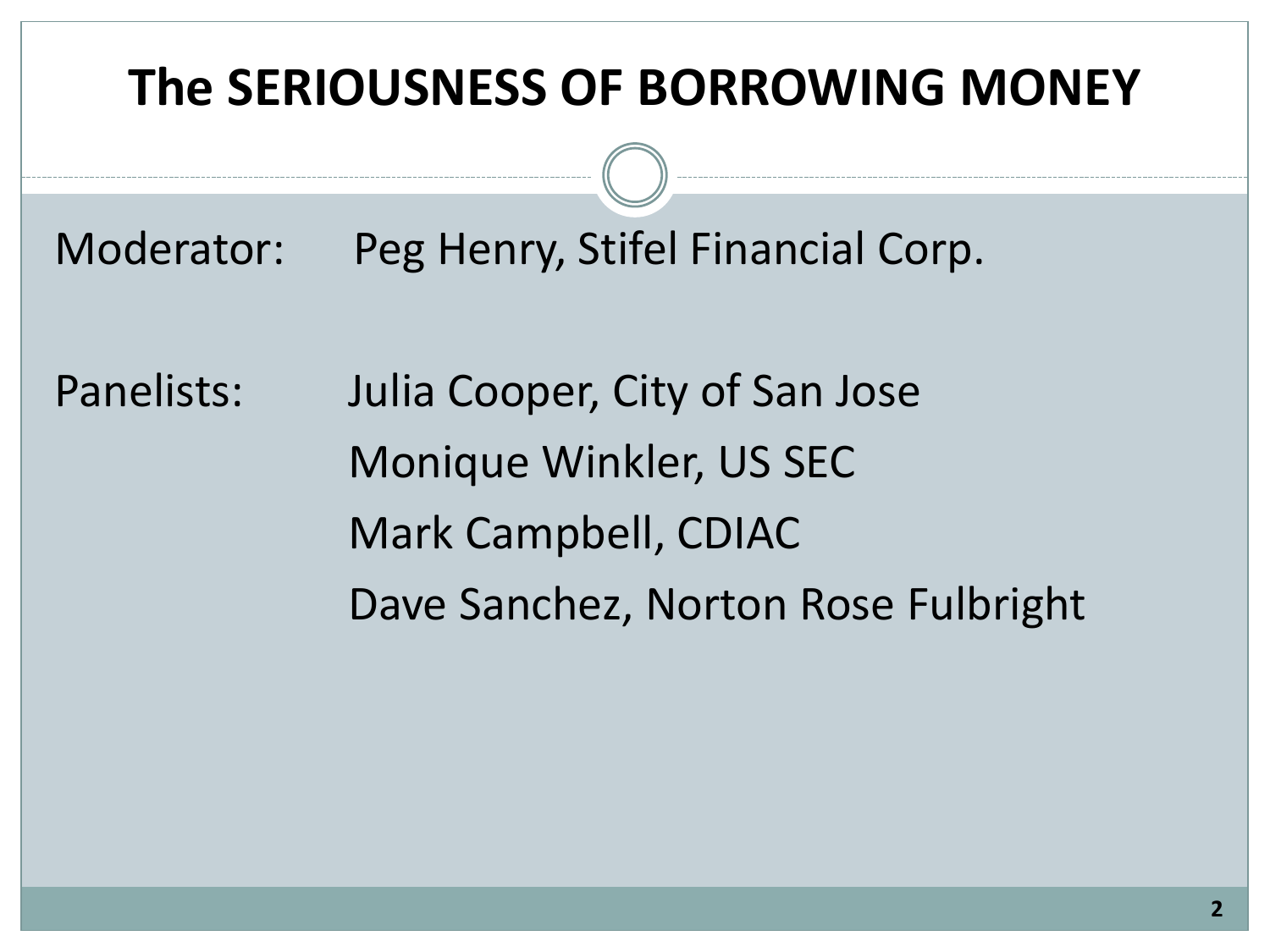#### **The SERIOUSNESS OF BORROWING MONEY**

Moderator: Peg Henry, Stifel Financial Corp.

Panelists: Julia Cooper, City of San Jose Monique Winkler, US SEC Mark Campbell, CDIAC Dave Sanchez, Norton Rose Fulbright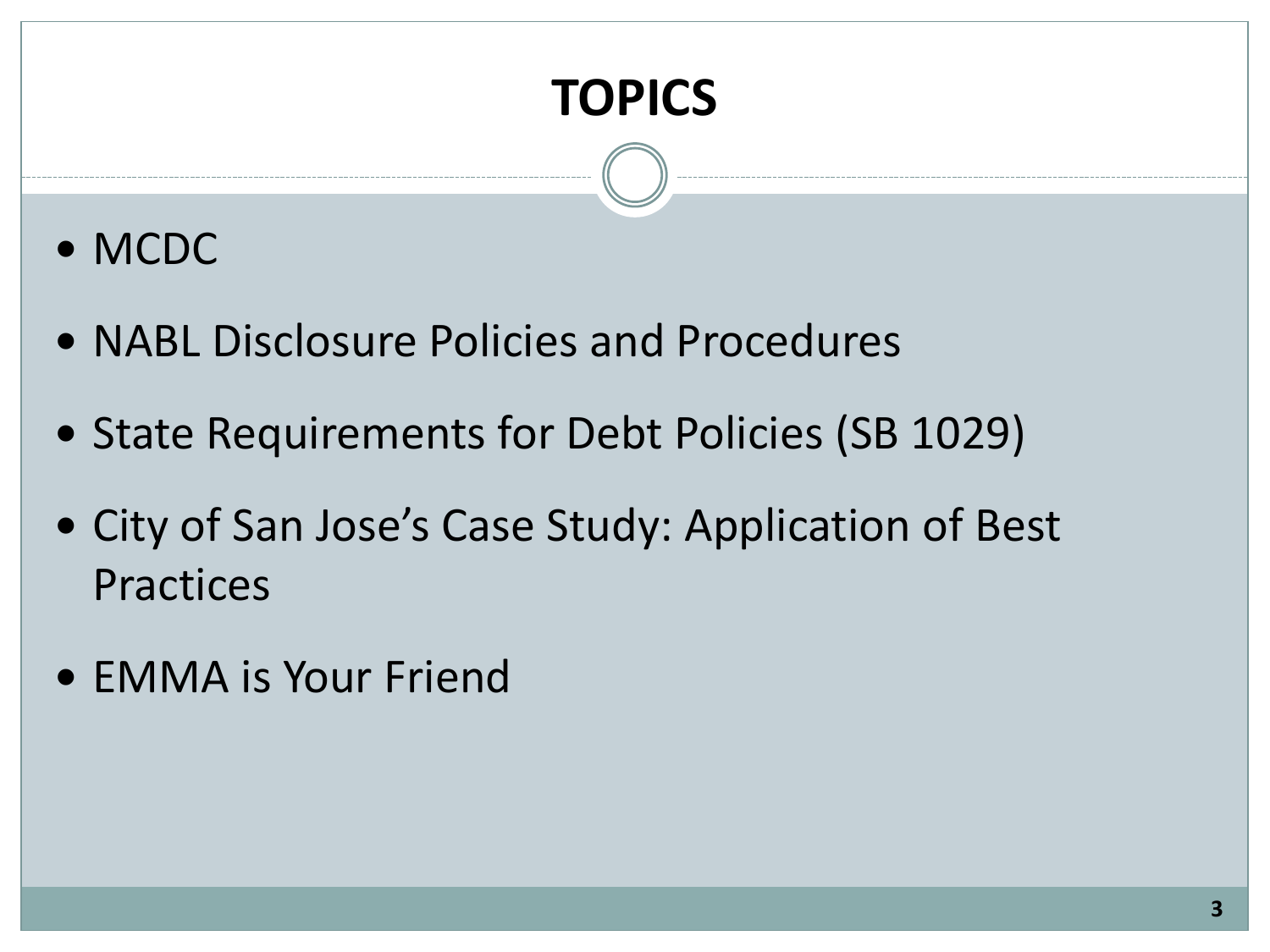### **TOPICS**

- MCDC
- NABL Disclosure Policies and Procedures
- State Requirements for Debt Policies (SB 1029)
- City of San Jose's Case Study: Application of Best Practices
- EMMA is Your Friend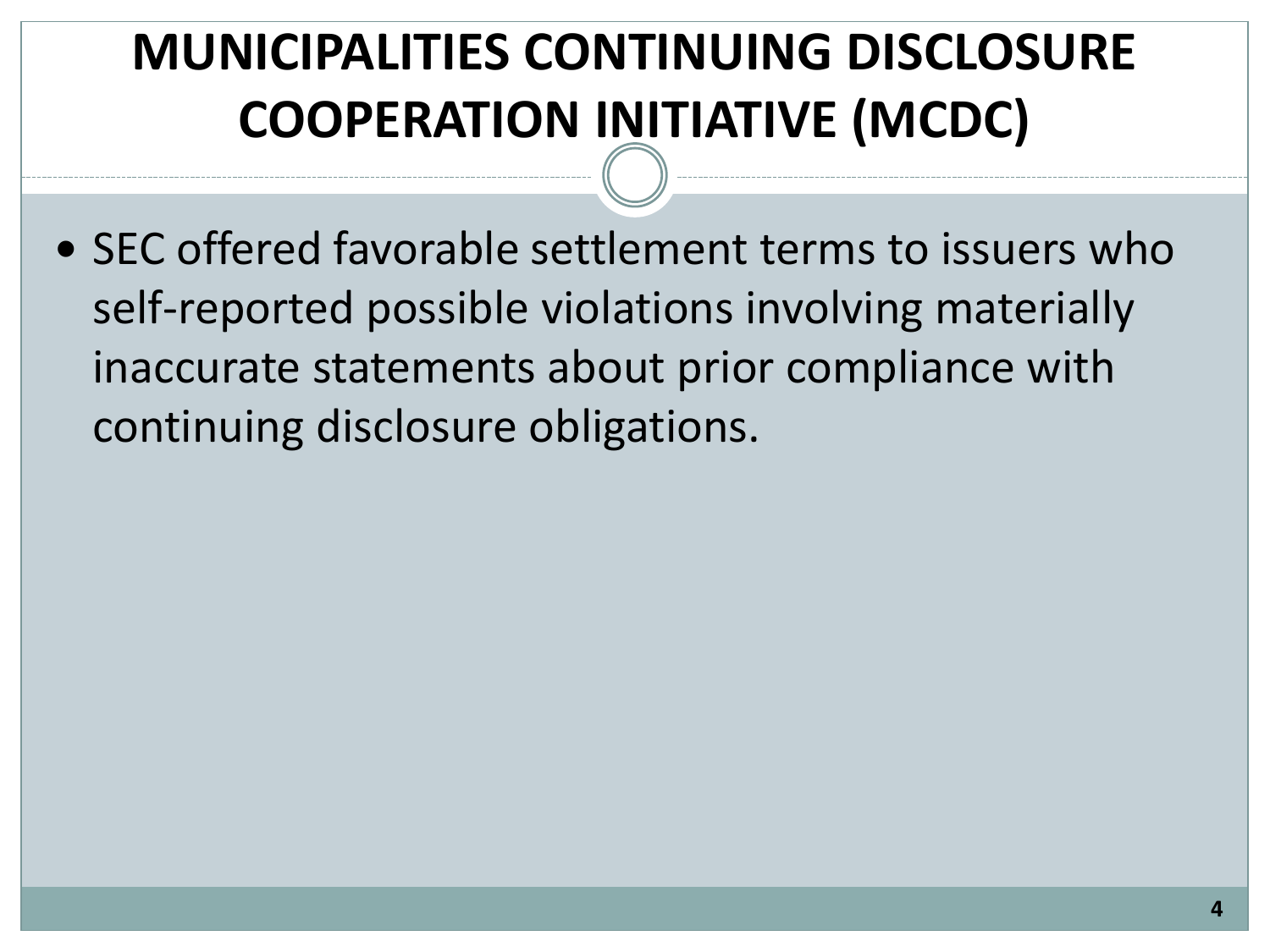### **MUNICIPALITIES CONTINUING DISCLOSURE COOPERATION INITIATIVE (MCDC)**

• SEC offered favorable settlement terms to issuers who self-reported possible violations involving materially inaccurate statements about prior compliance with continuing disclosure obligations.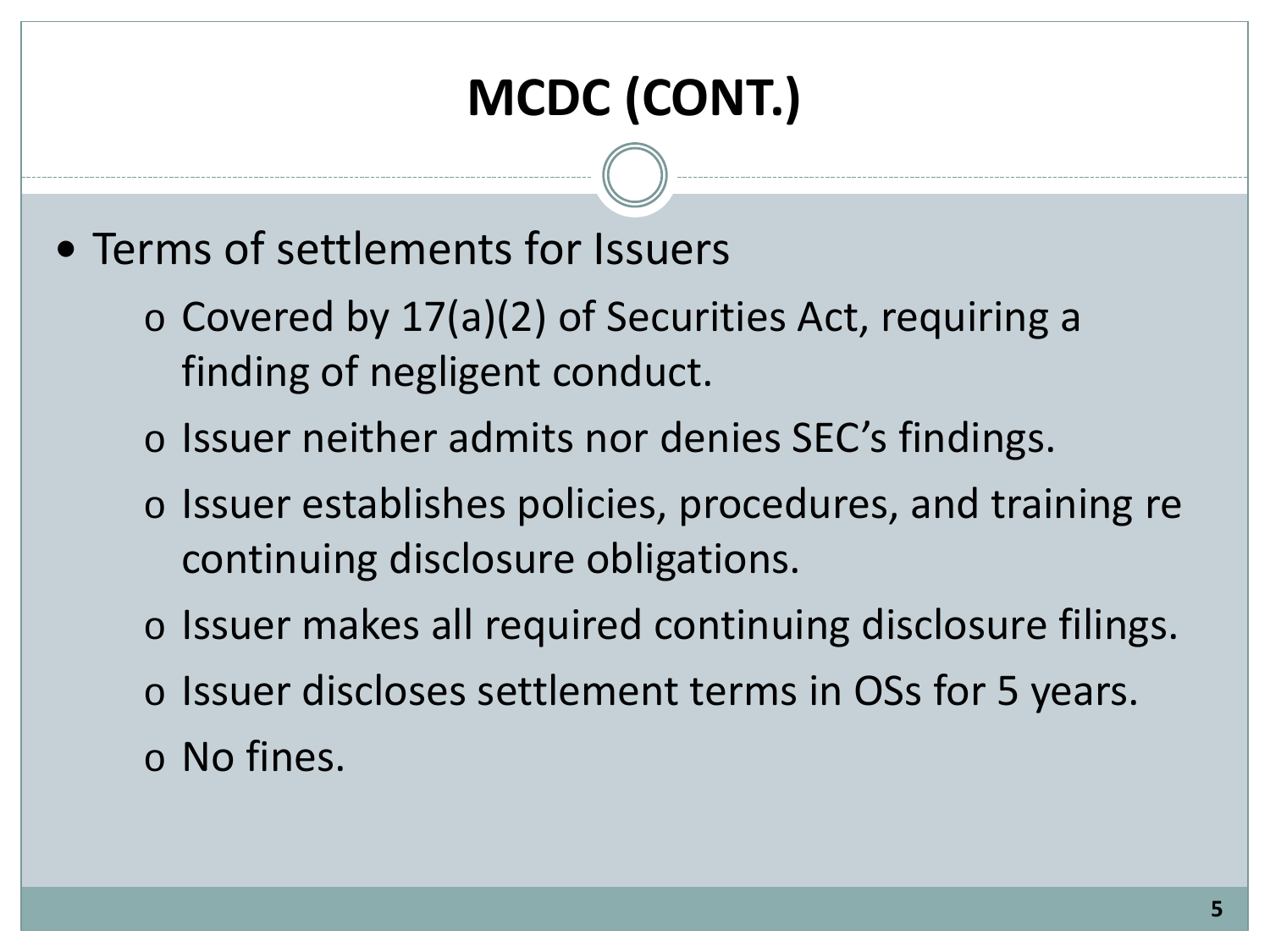# **MCDC (CONT.)**

- Terms of settlements for Issuers
	- o Covered by 17(a)(2) of Securities Act, requiring a finding of negligent conduct.
	- o Issuer neither admits nor denies SEC's findings.
	- o Issuer establishes policies, procedures, and training re continuing disclosure obligations.
	- o Issuer makes all required continuing disclosure filings.
	- o Issuer discloses settlement terms in OSs for 5 years. o No fines.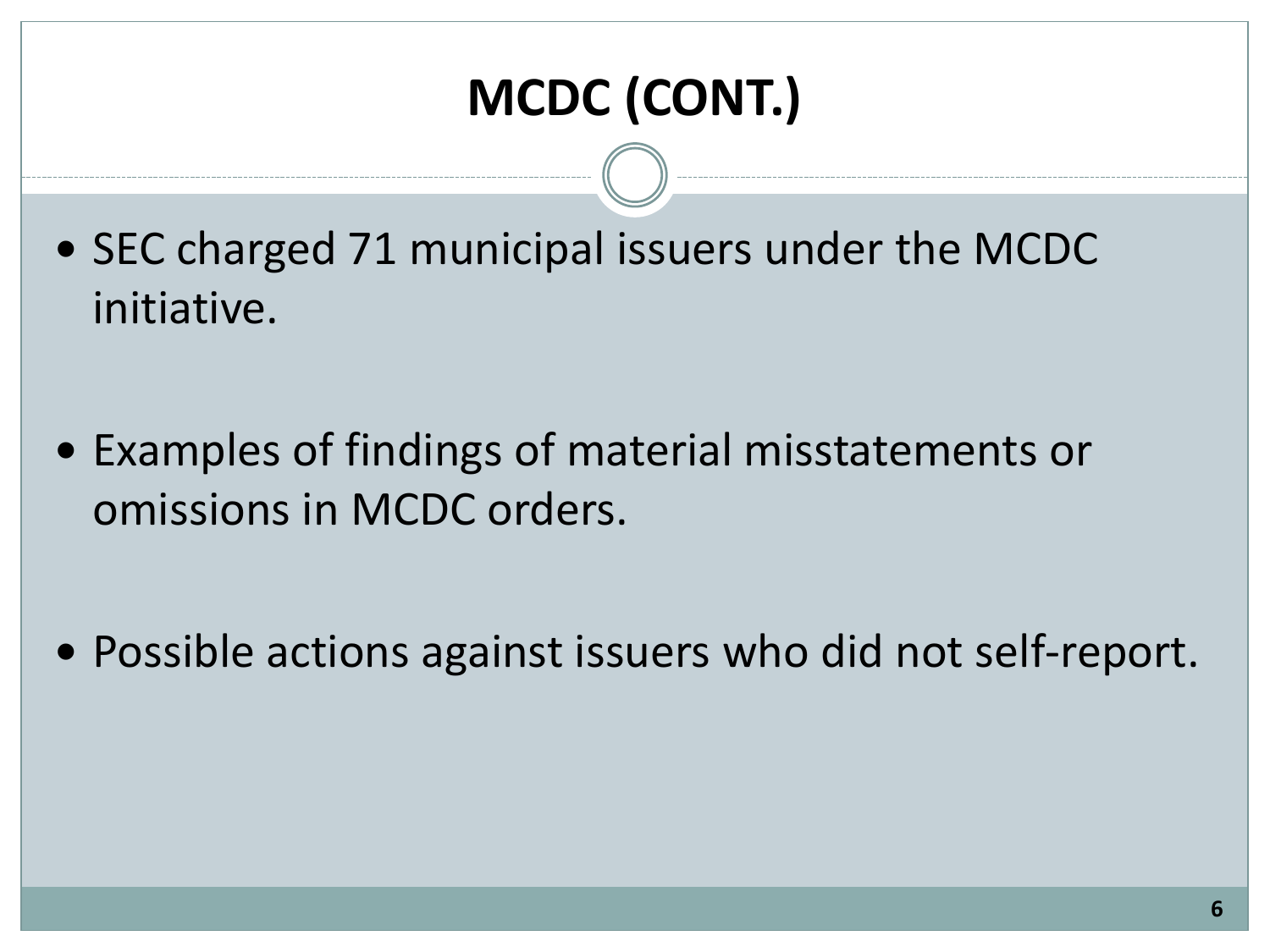# **MCDC (CONT.)**

- SEC charged 71 municipal issuers under the MCDC initiative.
- Examples of findings of material misstatements or omissions in MCDC orders.
- Possible actions against issuers who did not self-report.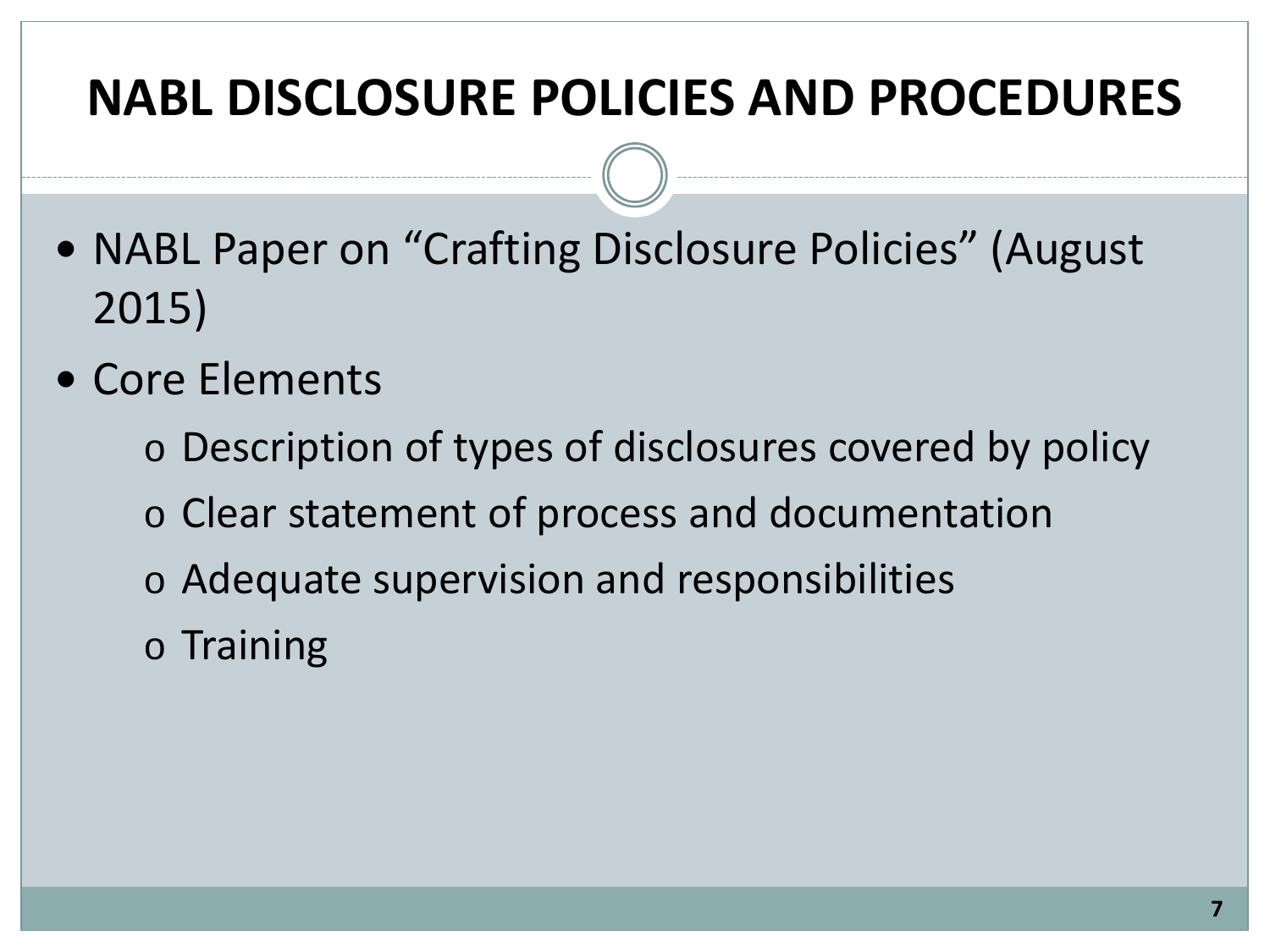### **NABL DISCLOSURE POLICIES AND PROCEDURES**

- NABL Paper on "Crafting Disclosure Policies" (August 2015)
- Core Elements
	- o Description of types of disclosures covered by policy
	- o Clear statement of process and documentation
	- o Adequate supervision and responsibilities
	- o Training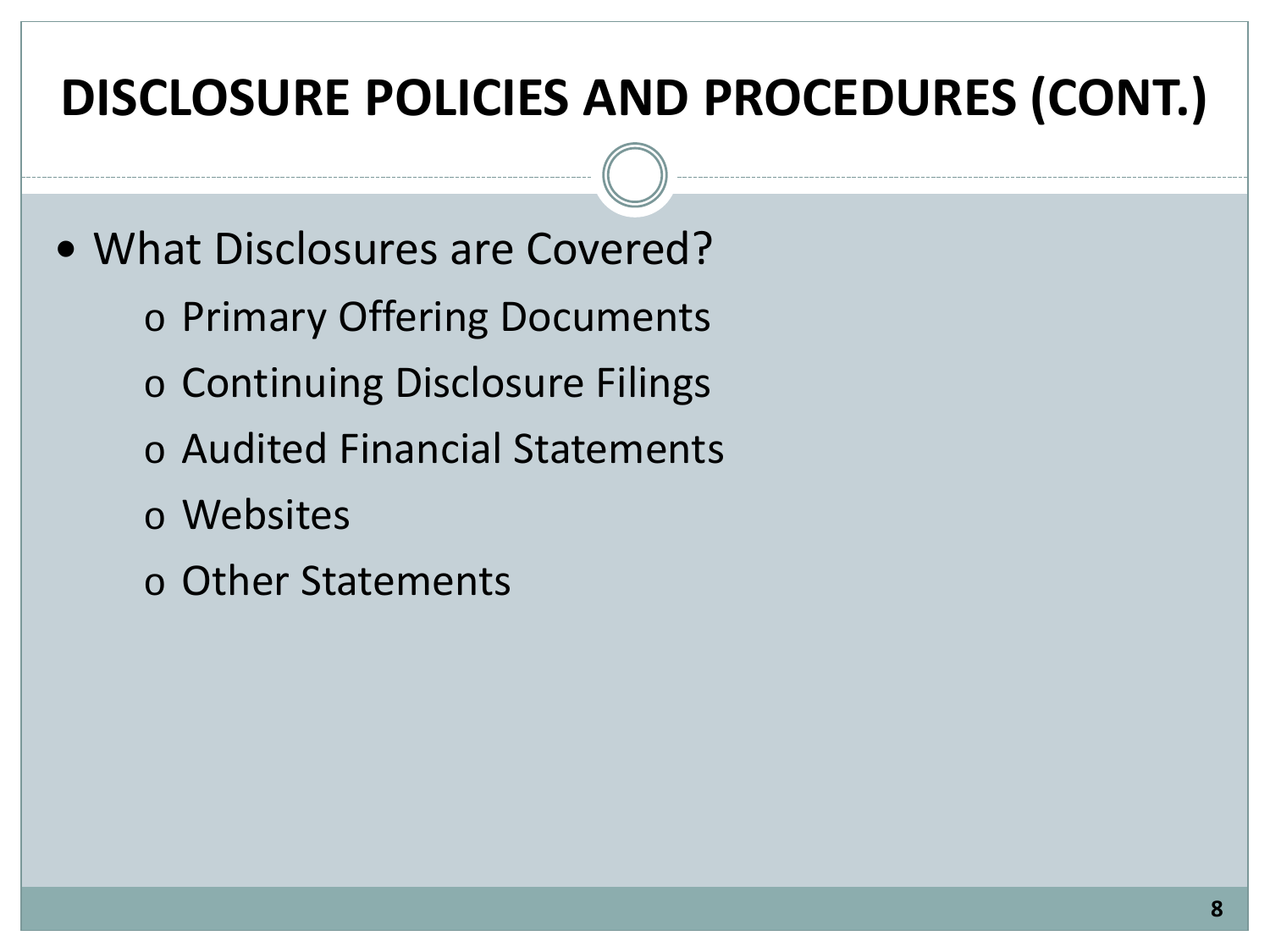### **DISCLOSURE POLICIES AND PROCEDURES (CONT.)**

- What Disclosures are Covered?
	- o Primary Offering Documents
	- o Continuing Disclosure Filings
	- o Audited Financial Statements
	- o Websites
	- o Other Statements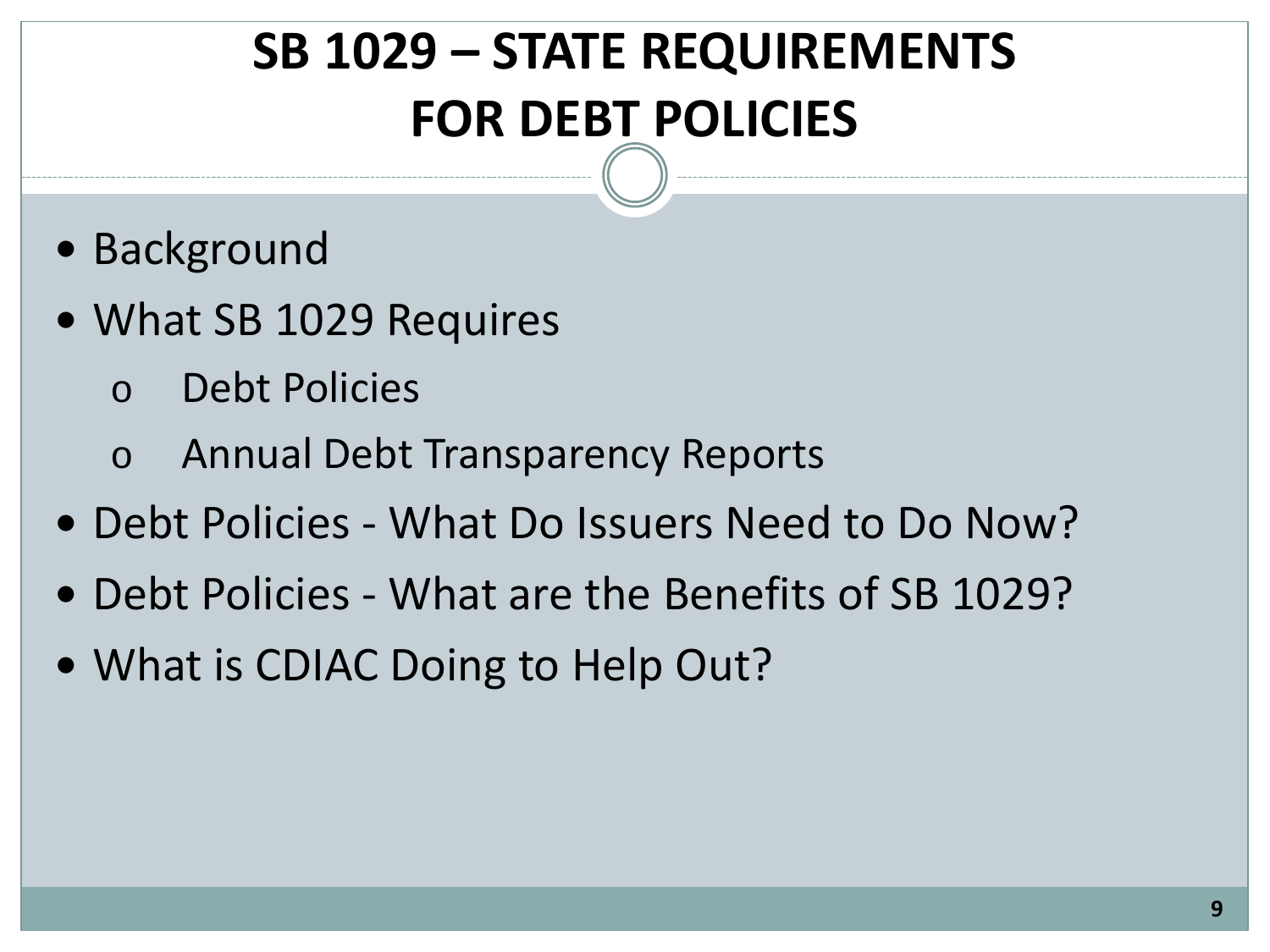# **SB 1029 – STATE REQUIREMENTS FOR DEBT POLICIES**

- Background
- What SB 1029 Requires
	- Debt Policies
	- o Annual Debt Transparency Reports
- Debt Policies What Do Issuers Need to Do Now?
- Debt Policies What are the Benefits of SB 1029?
- What is CDIAC Doing to Help Out?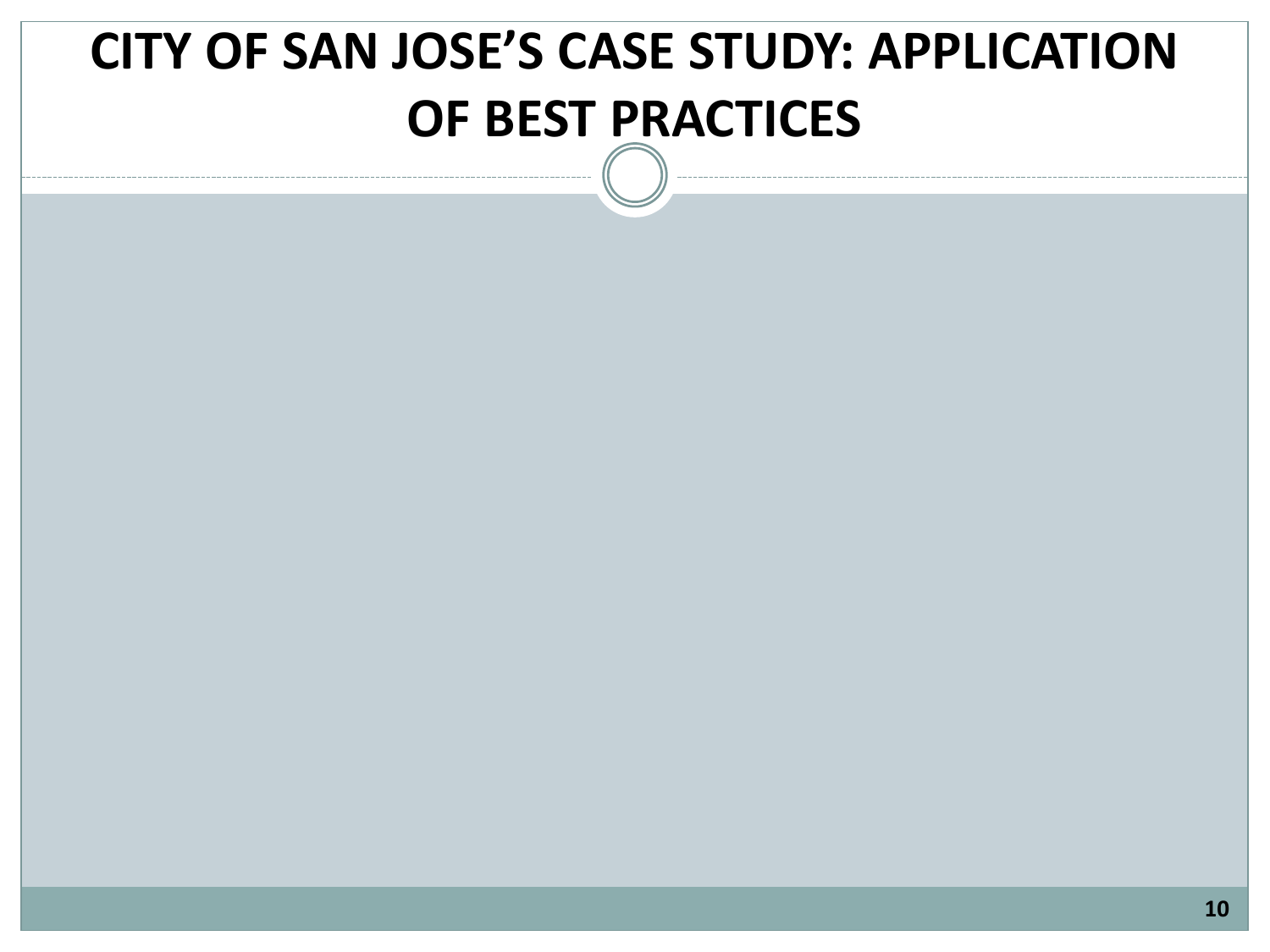## **CITY OF SAN JOSE'S CASE STUDY: APPLICATION OF BEST PRACTICES**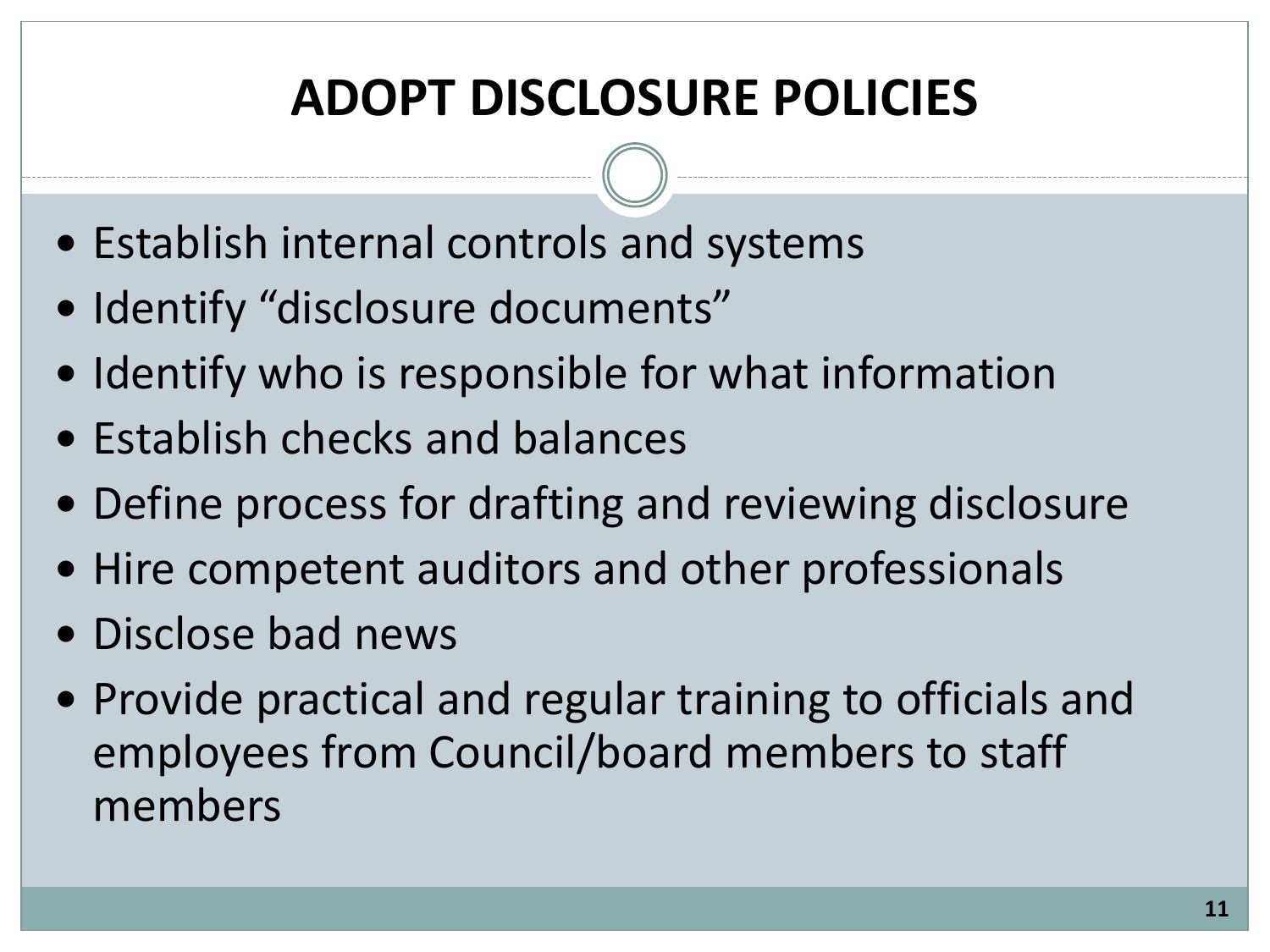## **ADOPT DISCLOSURE POLICIES**

- Establish internal controls and systems
- Identify "disclosure documents"
- Identify who is responsible for what information
- Establish checks and balances
- Define process for drafting and reviewing disclosure
- Hire competent auditors and other professionals
- Disclose bad news
- Provide practical and regular training to officials and employees from Council/board members to staff members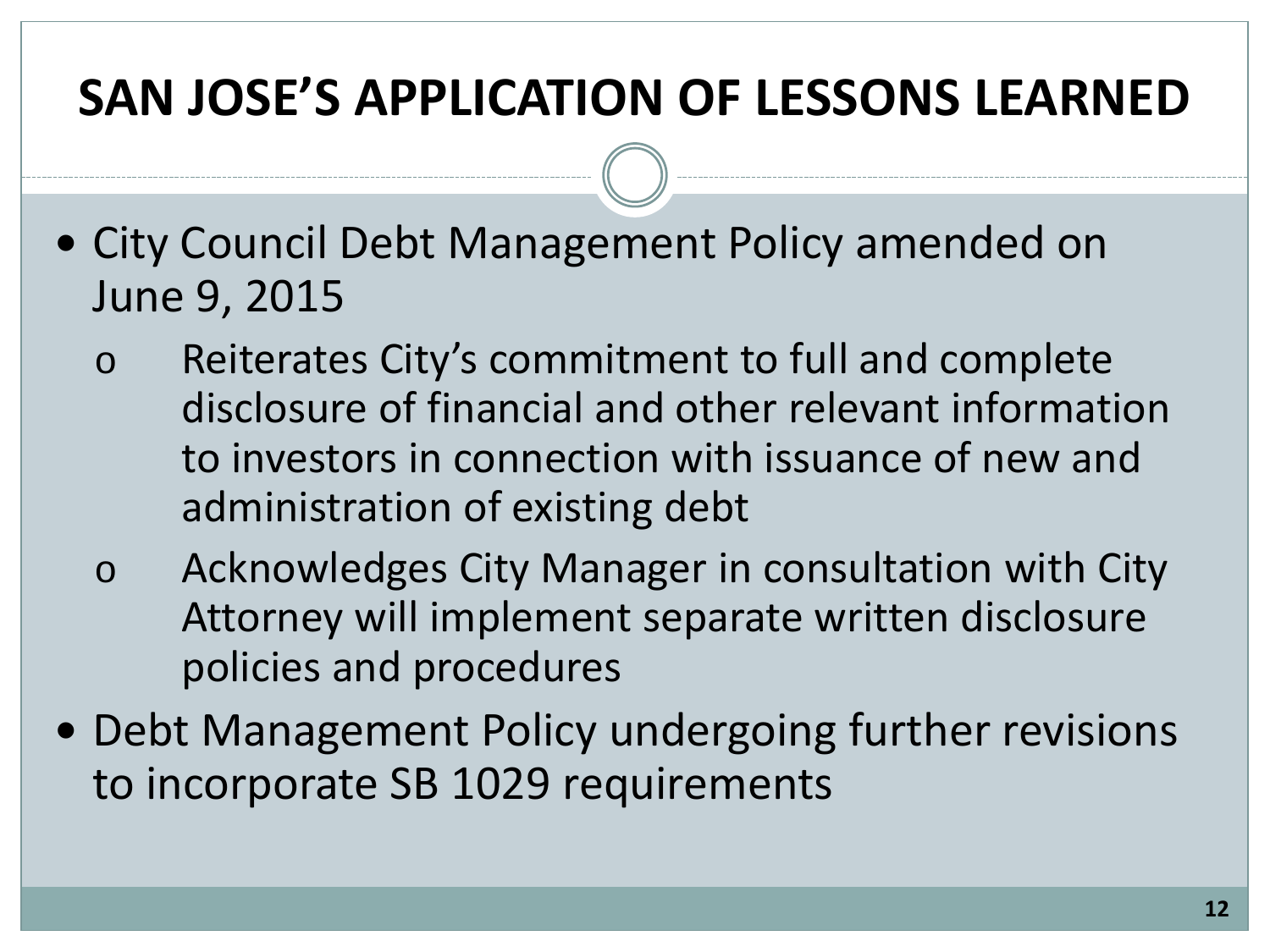### **SAN JOSE'S APPLICATION OF LESSONS LEARNED**

- City Council Debt Management Policy amended on June 9, 2015
	- o Reiterates City's commitment to full and complete disclosure of financial and other relevant information to investors in connection with issuance of new and administration of existing debt
	- o Acknowledges City Manager in consultation with City Attorney will implement separate written disclosure policies and procedures
- Debt Management Policy undergoing further revisions to incorporate SB 1029 requirements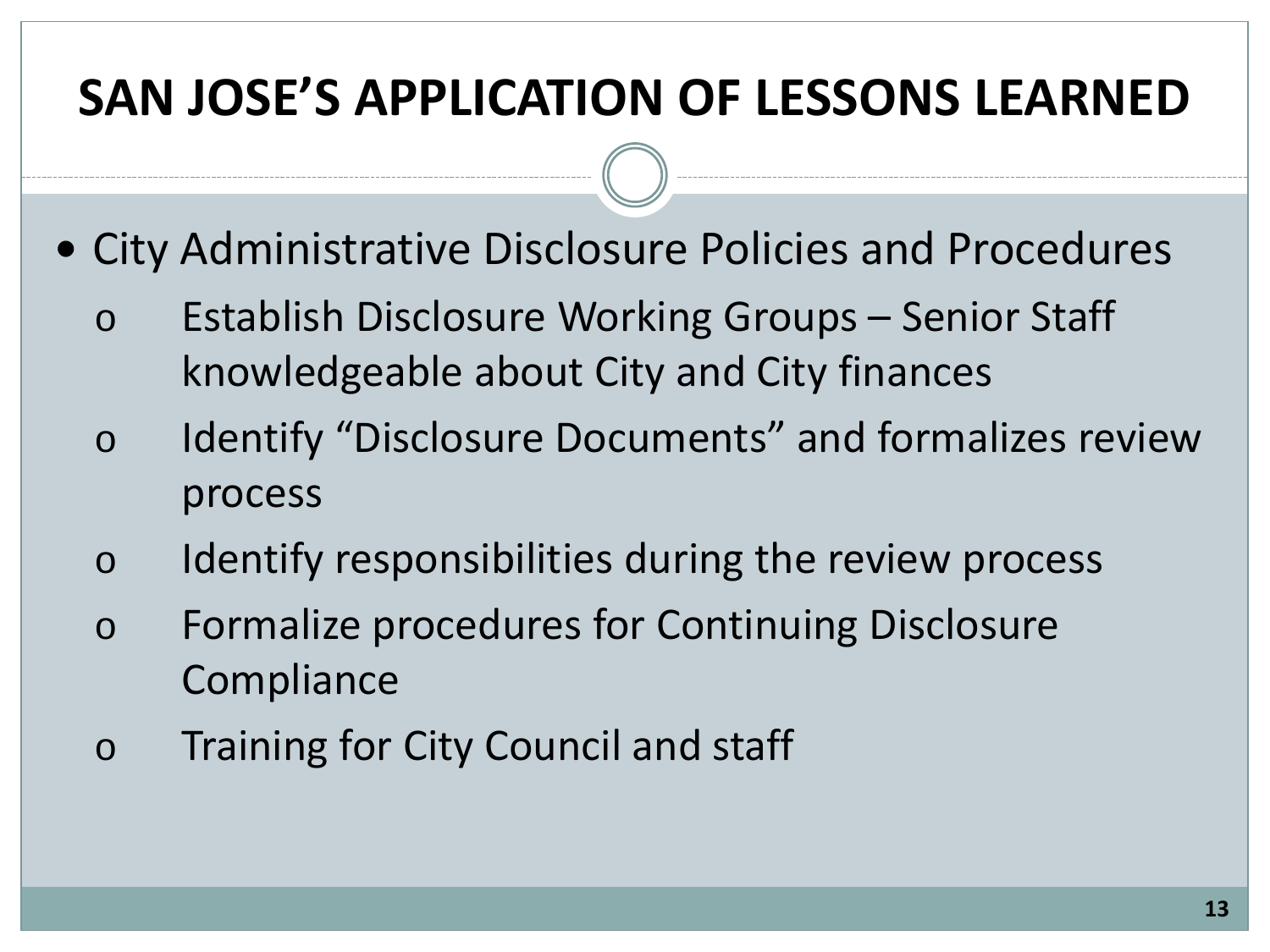### **SAN JOSE'S APPLICATION OF LESSONS LEARNED**

- City Administrative Disclosure Policies and Procedures
	- o Establish Disclosure Working Groups Senior Staff knowledgeable about City and City finances
	- o Identify "Disclosure Documents" and formalizes review process
	- o Identify responsibilities during the review process
	- o Formalize procedures for Continuing Disclosure **Compliance**
	- o Training for City Council and staff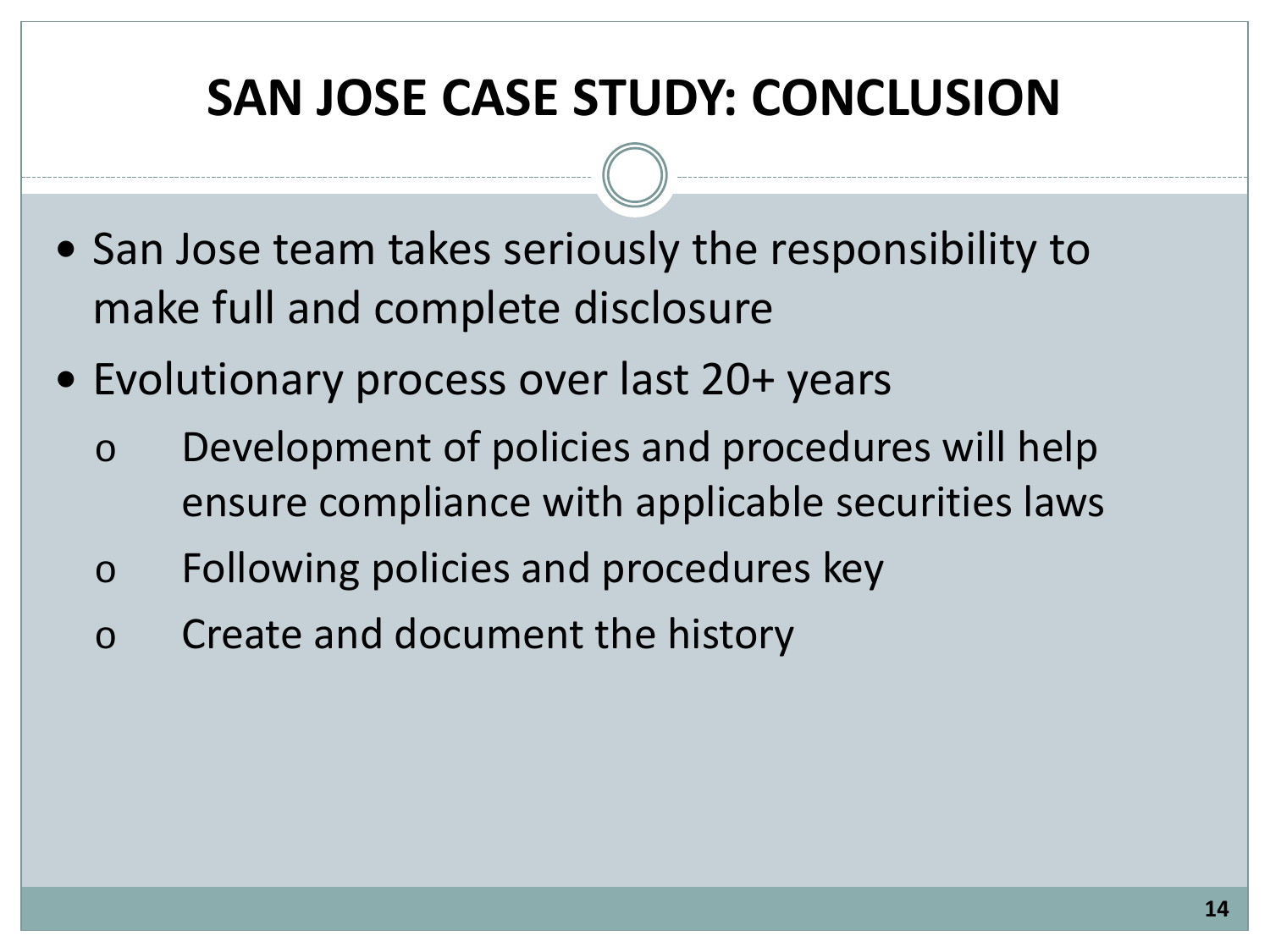### **SAN JOSE CASE STUDY: CONCLUSION**

- San Jose team takes seriously the responsibility to make full and complete disclosure
- Evolutionary process over last 20+ years
	- o Development of policies and procedures will help ensure compliance with applicable securities laws
	- o Following policies and procedures key
	- o Create and document the history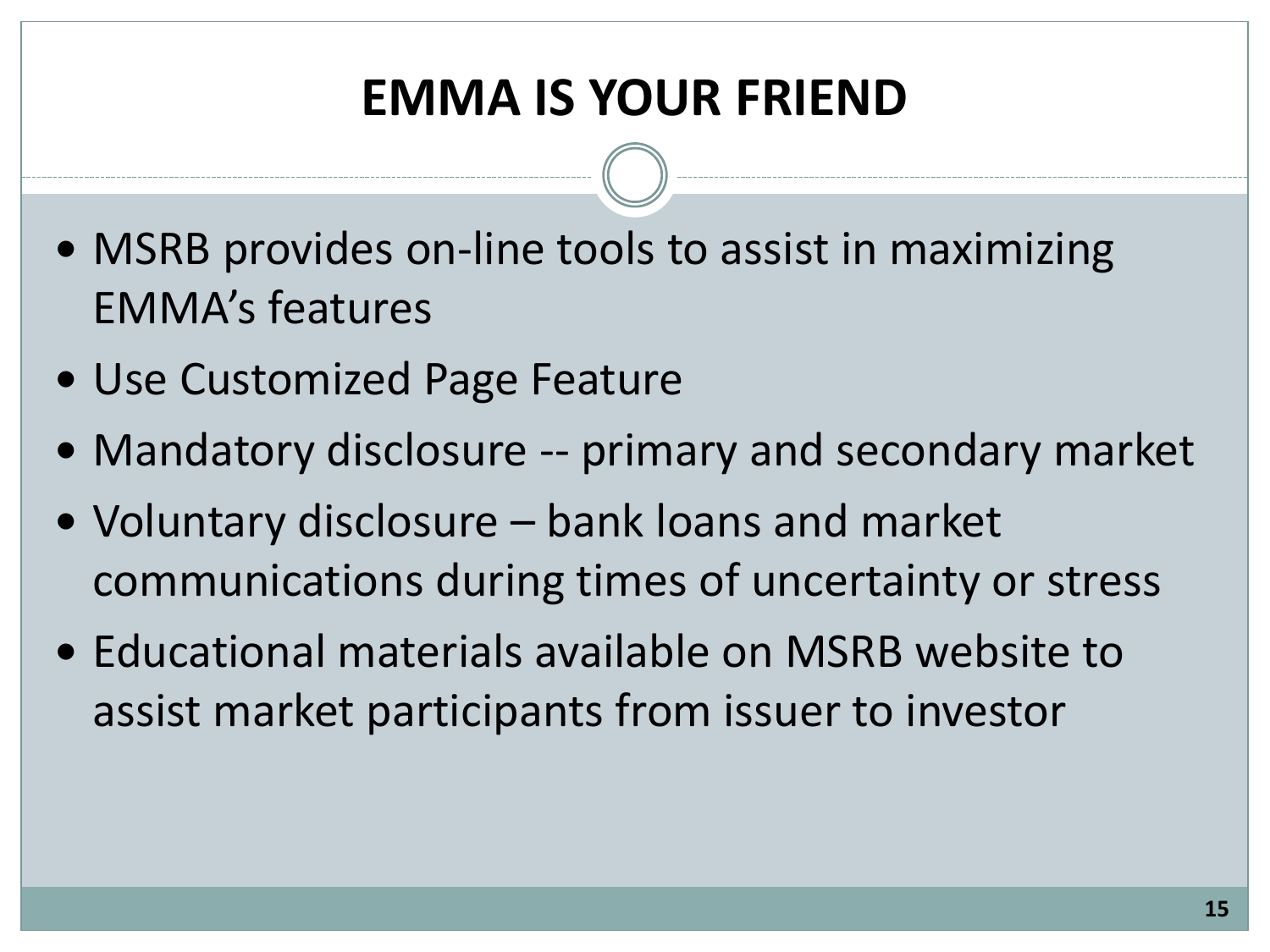### **EMMA IS YOUR FRIEND**

- MSRB provides on-line tools to assist in maximizing EMMA's features
- Use Customized Page Feature
- Mandatory disclosure -- primary and secondary market
- Voluntary disclosure bank loans and market communications during times of uncertainty or stress
- Educational materials available on MSRB website to assist market participants from issuer to investor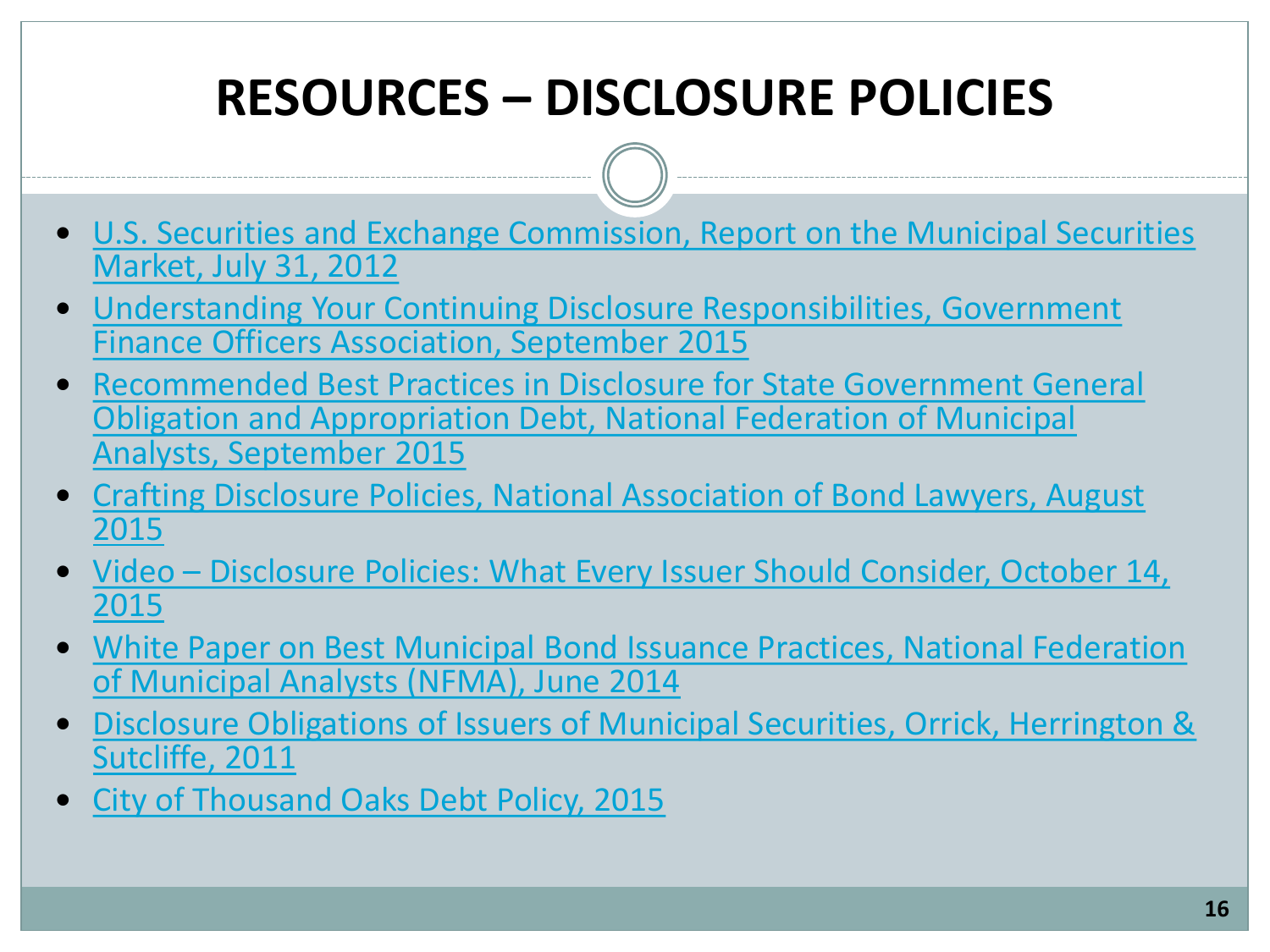### **RESOURCES – DISCLOSURE POLICIES**

- [U.S. Securities and Exchange Commission, Report on the Municipal Securities](https://www.sec.gov/news/studies/2012/munireport073112.pdf)  [Market, July 31, 2012](https://www.sec.gov/news/studies/2012/munireport073112.pdf)
- [Understanding Your Continuing Disclosure Responsibilities, Government](http://www.gfoa.org/understanding-your-continuing-disclosure-responsbilities)  [Finance Officers Association, September 2015](http://www.gfoa.org/understanding-your-continuing-disclosure-responsbilities)
- Recommended Best Practices in Disclosure for State Government General [Obligation and Appropriation Debt, National Federation of Municipal](https://nfma.memberclicks.net/assets/documents/RBP/rbp_statego_final.pdf)  [Analysts, September 2015](https://nfma.memberclicks.net/assets/documents/RBP/rbp_statego_final.pdf)
- [Crafting Disclosure Policies, National Association of Bond Lawyers, August](https://www.nabl.org/DesktopModules/Bring2mind/DMX/Download.aspx?PortalId=0&TabId=176&EntryId=1008)  [2015](https://www.nabl.org/DesktopModules/Bring2mind/DMX/Download.aspx?PortalId=0&TabId=176&EntryId=1008)
- Video [Disclosure Policies: What Every Issuer Should Consider, October 14,](https://reg.abcsignup.com/view/view_month.aspx?as=19&wp=252&aid=CDIAC)  [2015](https://reg.abcsignup.com/view/view_month.aspx?as=19&wp=252&aid=CDIAC)
- [White Paper on Best Municipal Bond Issuance Practices, National Federation](http://www.nfma.org/assets/documents/position.stmt/wp.newissue.final.pdf)  [of Municipal Analysts \(NFMA\), June 2014](http://www.nfma.org/assets/documents/position.stmt/wp.newissue.final.pdf)
- Disclosure Obligations of Issuers of Municipal Securities, Orrick, Herrington & [Sutcliffe, 2011](https://www.orrick.com/Events-and-Publications/Documents/4236.pdf)
- [City of Thousand Oaks Debt Policy, 2015](http://www.toaks.org/home/showdocument?id=4623)